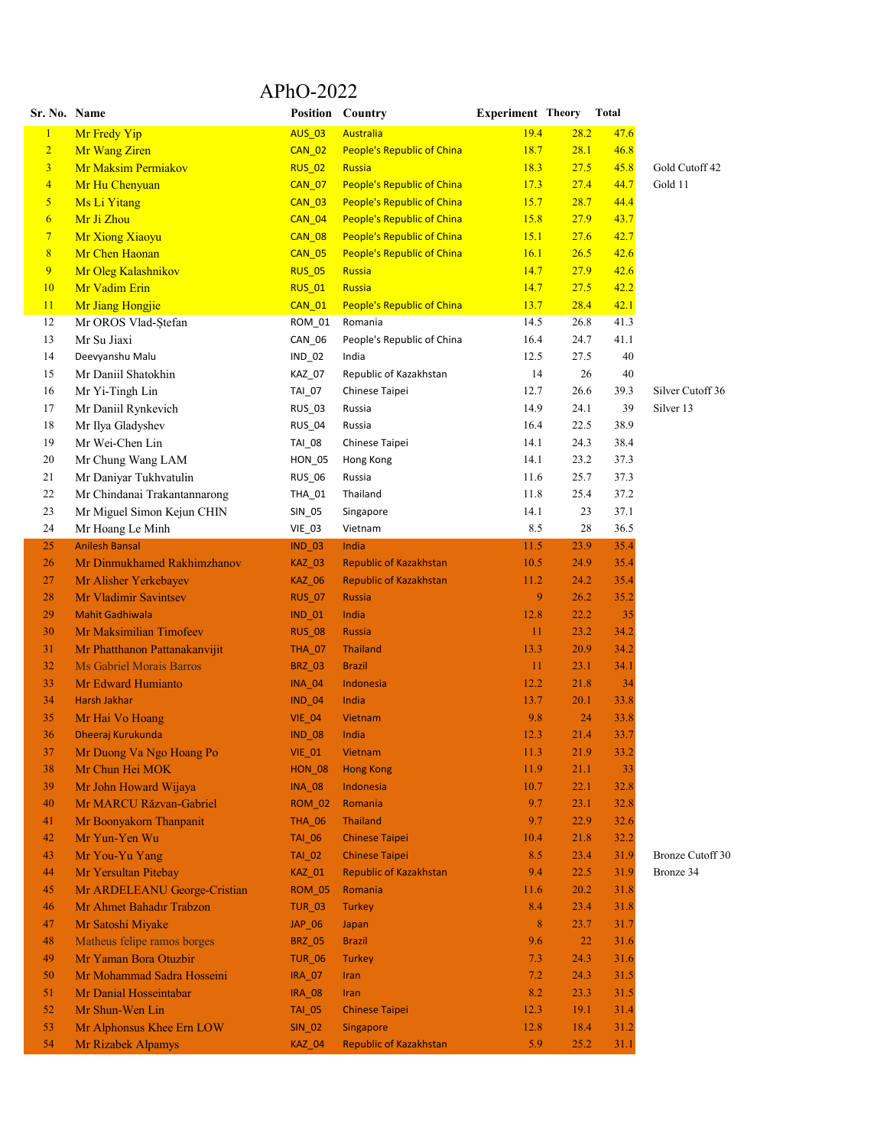## APhO-2022

| Sr. No. Name            |                                           |                                | Position Country                  | <b>Experiment Theory</b> |      | Total |                  |
|-------------------------|-------------------------------------------|--------------------------------|-----------------------------------|--------------------------|------|-------|------------------|
| $\mathbf{1}$            | Mr Fredy Yip                              | <b>AUS_03</b>                  | <b>Australia</b>                  | 19.4                     | 28.2 | 47.6  |                  |
| $\overline{2}$          | Mr Wang Ziren                             | <b>CAN_02</b>                  | <b>People's Republic of China</b> | 18.7                     | 28.1 | 46.8  |                  |
| $\overline{\mathbf{3}}$ | Mr Maksim Permiakov                       | <b>RUS_02</b>                  | <b>Russia</b>                     | 18.3                     | 27.5 | 45.8  | Gold Cutoff 42   |
| $\overline{4}$          | Mr Hu Chenyuan                            | <b>CAN_07</b>                  | <b>People's Republic of China</b> | 17.3                     | 27.4 | 44.7  | Gold 11          |
| $\overline{\mathbf{5}}$ | Ms Li Yitang                              | <b>CAN_03</b>                  | <b>People's Republic of China</b> | 15.7                     | 28.7 | 44.4  |                  |
| $\overline{6}$          | Mr Ji Zhou                                | <b>CAN_04</b>                  | <b>People's Republic of China</b> | 15.8                     | 27.9 | 43.7  |                  |
| $\overline{7}$          | Mr Xiong Xiaoyu                           | <b>CAN_08</b>                  | <b>People's Republic of China</b> | 15.1                     | 27.6 | 42.7  |                  |
| $\boldsymbol{8}$        | Mr Chen Haonan                            | <b>CAN_05</b>                  | <b>People's Republic of China</b> | 16.1                     | 26.5 | 42.6  |                  |
| 9                       | Mr Oleg Kalashnikov                       | <b>RUS_05</b>                  | <b>Russia</b>                     | 14.7                     | 27.9 | 42.6  |                  |
| 10                      | Mr Vadim Erin                             | <b>RUS_01</b>                  | Russia                            | 14.7                     | 27.5 | 42.2  |                  |
| 11                      | Mr Jiang Hongjie                          | <b>CAN_01</b>                  | <b>People's Republic of China</b> | 13.7                     | 28.4 | 42.1  |                  |
| 12                      | Mr OROS Vlad-Ștefan                       | ROM_01                         | Romania                           | 14.5                     | 26.8 | 41.3  |                  |
| 13                      | Mr Su Jiaxi                               | CAN_06                         | People's Republic of China        | 16.4                     | 24.7 | 41.1  |                  |
| 14                      | Deevyanshu Malu                           | $IND_02$                       | India                             | 12.5                     | 27.5 | 40    |                  |
| 15                      | Mr Daniil Shatokhin                       | KAZ_07                         | Republic of Kazakhstan            | 14                       | 26   | 40    |                  |
| 16                      | Mr Yi-Tingh Lin                           | TAI_07                         | Chinese Taipei                    | 12.7                     | 26.6 | 39.3  | Silver Cutoff 36 |
| 17                      | Mr Daniil Rynkevich                       | <b>RUS_03</b>                  | Russia                            | 14.9                     | 24.1 | 39    | Silver 13        |
| 18                      | Mr Ilya Gladyshev                         | <b>RUS_04</b>                  | Russia                            | 16.4                     | 22.5 | 38.9  |                  |
| 19                      | Mr Wei-Chen Lin                           | TAI_08                         | Chinese Taipei                    | 14.1                     | 24.3 | 38.4  |                  |
| 20                      | Mr Chung Wang LAM                         | HON_05                         | Hong Kong                         | 14.1                     | 23.2 | 37.3  |                  |
| 21                      | Mr Daniyar Tukhvatulin                    | <b>RUS_06</b>                  | Russia                            | 11.6                     | 25.7 | 37.3  |                  |
| 22                      | Mr Chindanai Trakantannarong              | THA_01                         | Thailand                          | 11.8                     | 25.4 | 37.2  |                  |
| 23                      | Mr Miguel Simon Kejun CHIN                | SIN_05                         | Singapore                         | 14.1                     | 23   | 37.1  |                  |
| 24                      |                                           |                                | Vietnam                           | 8.5                      | 28   | 36.5  |                  |
|                         | Mr Hoang Le Minh<br><b>Anilesh Bansal</b> | $VIE_03$                       | India                             | 11.5                     | 23.9 | 35.4  |                  |
| 25<br>26                |                                           | <b>IND_03</b><br><b>KAZ_03</b> | <b>Republic of Kazakhstan</b>     | 10.5                     | 24.9 | 35.4  |                  |
|                         | Mr Dinmukhamed Rakhimzhanov               |                                |                                   |                          | 24.2 |       |                  |
| 27                      | Mr Alisher Yerkebayev                     | <b>KAZ_06</b>                  | <b>Republic of Kazakhstan</b>     | 11.2                     |      | 35.4  |                  |
| 28                      | Mr Vladimir Savintsev                     | <b>RUS_07</b>                  | <b>Russia</b>                     | 9                        | 26.2 | 35.2  |                  |
| 29                      | <b>Mahit Gadhiwala</b>                    | $IND_01$                       | India                             | 12.8                     | 22.2 | 35    |                  |
| 30                      | Mr Maksimilian Timofeev                   | <b>RUS_08</b>                  | <b>Russia</b>                     | 11                       | 23.2 | 34.2  |                  |
| 31                      | Mr Phatthanon Pattanakanvijit             | <b>THA_07</b>                  | <b>Thailand</b>                   | 13.3                     | 20.9 | 34.2  |                  |
| 32                      | Ms Gabriel Morais Barros                  | <b>BRZ_03</b>                  | <b>Brazil</b>                     | 11                       | 23.1 | 34.1  |                  |
| 33                      | Mr Edward Humianto                        | <b>INA_04</b>                  | Indonesia                         | 12.2                     | 21.8 | 34    |                  |
| 34                      | <b>Harsh Jakhar</b>                       | <b>IND_04</b>                  | India                             | 13.7                     | 20.1 | 33.8  |                  |
| 35                      | Mr Hai Vo Hoang                           | $VIE_04$                       | Vietnam                           | 9.8                      | 24   | 33.8  |                  |
| 36                      | Dheeraj Kurukunda                         | <b>IND_08</b>                  | India                             | 12.3                     | 21.4 | 33.7  |                  |
| 37                      | Mr Duong Va Ngo Hoang Po                  | <b>VIE 01</b>                  | Vietnam                           | 11.3                     | 21.9 | 33.2  |                  |
| 38                      | Mr Chun Hei MOK                           | <b>HON_08</b>                  | <b>Hong Kong</b>                  | 11.9                     | 21.1 | 33    |                  |
| 39                      | Mr John Howard Wijaya                     | <b>INA_08</b>                  | Indonesia                         | 10.7                     | 22.1 | 32.8  |                  |
| 40                      | Mr MARCU Răzvan-Gabriel                   | <b>ROM_02</b>                  | Romania                           | 9.7                      | 23.1 | 32.8  |                  |
| 41                      | Mr Boonyakorn Thanpanit                   | <b>THA_06</b>                  | <b>Thailand</b>                   | 9.7                      | 22.9 | 32.6  |                  |
| 42                      | Mr Yun-Yen Wu                             | TAI_06                         | <b>Chinese Taipei</b>             | 10.4                     | 21.8 | 32.2  |                  |
| 43                      | Mr You-Yu Yang                            | <b>TAI_02</b>                  | <b>Chinese Taipei</b>             | 8.5                      | 23.4 | 31.9  | Bronze Cutoff 30 |
| 44                      | Mr Yersultan Pitebay                      | KAZ_01                         | <b>Republic of Kazakhstan</b>     | 9.4                      | 22.5 | 31.9  | Bronze 34        |
| 45                      | Mr ARDELEANU George-Cristian              | <b>ROM_05</b>                  | Romania                           | 11.6                     | 20.2 | 31.8  |                  |
| 46                      | Mr Ahmet Bahadır Trabzon                  | <b>TUR_03</b>                  | <b>Turkey</b>                     | 8.4                      | 23.4 | 31.8  |                  |
| 47                      | Mr Satoshi Miyake                         | $JAP_06$                       | Japan                             | $8\phantom{1}$           | 23.7 | 31.7  |                  |
| 48                      | Matheus felipe ramos borges               | <b>BRZ_05</b>                  | <b>Brazil</b>                     | 9.6                      | 22   | 31.6  |                  |
| 49                      | Mr Yaman Bora Otuzbir                     | <b>TUR_06</b>                  | <b>Turkey</b>                     | 7.3                      | 24.3 | 31.6  |                  |
| 50                      | Mr Mohammad Sadra Hosseini                | <b>IRA_07</b>                  | Iran                              | 7.2                      | 24.3 | 31.5  |                  |
| 51                      | Mr Danial Hosseintabar                    | <b>IRA_08</b>                  | Iran                              | 8.2                      | 23.3 | 31.5  |                  |
| 52                      | Mr Shun-Wen Lin                           | <b>TAI_05</b>                  | <b>Chinese Taipei</b>             | 12.3                     | 19.1 | 31.4  |                  |
| 53                      | Mr Alphonsus Khee Ern LOW                 | <b>SIN_02</b>                  | Singapore                         | 12.8                     | 18.4 | 31.2  |                  |
| 54                      | Mr Rizabek Alpamys                        | <b>KAZ_04</b>                  | <b>Republic of Kazakhstan</b>     | 5.9                      | 25.2 | 31.1  |                  |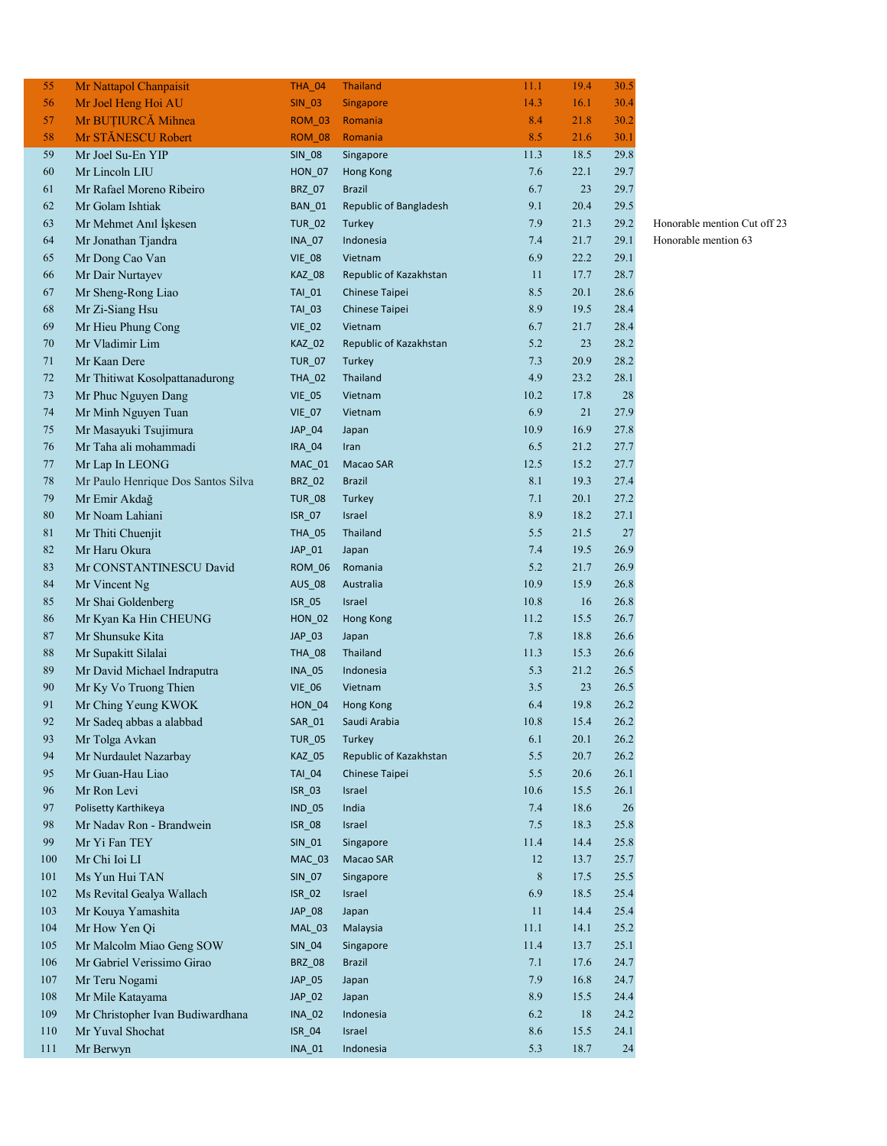| 55  | Mr Nattapol Chanpaisit             | <b>THA_04</b> | <b>Thailand</b>        | 11.1    | 19.4 | 30.5 |
|-----|------------------------------------|---------------|------------------------|---------|------|------|
| 56  | Mr Joel Heng Hoi AU                | <b>SIN_03</b> | <b>Singapore</b>       | 14.3    | 16.1 | 30.4 |
| 57  | Mr BUȚIURCĂ Mihnea                 | <b>ROM_03</b> | Romania                | 8.4     | 21.8 | 30.2 |
| 58  | Mr STĂNESCU Robert                 | <b>ROM_08</b> | Romania                | 8.5     | 21.6 | 30.1 |
| 59  | Mr Joel Su-En YIP                  | <b>SIN_08</b> | Singapore              | 11.3    | 18.5 | 29.8 |
| 60  | Mr Lincoln LIU                     | <b>HON_07</b> | Hong Kong              | 7.6     | 22.1 | 29.7 |
| 61  | Mr Rafael Moreno Ribeiro           | BRZ_07        | <b>Brazil</b>          | 6.7     | 23   | 29.7 |
| 62  | Mr Golam Ishtiak                   | <b>BAN_01</b> | Republic of Bangladesh | 9.1     | 20.4 | 29.5 |
| 63  | Mr Mehmet Anıl İşkesen             | <b>TUR_02</b> | <b>Turkey</b>          | 7.9     | 21.3 | 29.2 |
| 64  | Mr Jonathan Tjandra                | <b>INA_07</b> | Indonesia              | 7.4     | 21.7 | 29.1 |
| 65  | Mr Dong Cao Van                    | <b>VIE_08</b> | Vietnam                | 6.9     | 22.2 | 29.1 |
| 66  | Mr Dair Nurtayev                   | <b>KAZ_08</b> | Republic of Kazakhstan | 11      | 17.7 | 28.7 |
| 67  | Mr Sheng-Rong Liao                 | TAI_01        | Chinese Taipei         | 8.5     | 20.1 | 28.6 |
| 68  | Mr Zi-Siang Hsu                    | TAI_03        | Chinese Taipei         | 8.9     | 19.5 | 28.4 |
| 69  | Mr Hieu Phung Cong                 | <b>VIE_02</b> | Vietnam                | 6.7     | 21.7 | 28.4 |
| 70  | Mr Vladimir Lim                    | KAZ_02        | Republic of Kazakhstan | 5.2     | 23   | 28.2 |
| 71  | Mr Kaan Dere                       | <b>TUR_07</b> | Turkey                 | 7.3     | 20.9 | 28.2 |
| 72  | Mr Thitiwat Kosolpattanadurong     | <b>THA_02</b> | <b>Thailand</b>        | 4.9     | 23.2 | 28.1 |
| 73  | Mr Phuc Nguyen Dang                | <b>VIE_05</b> | Vietnam                | 10.2    | 17.8 | 28   |
| 74  |                                    | <b>VIE_07</b> | Vietnam                | 6.9     | 21   | 27.9 |
| 75  | Mr Minh Nguyen Tuan                |               |                        | 10.9    | 16.9 | 27.8 |
|     | Mr Masayuki Tsujimura              | JAP_04        | Japan                  | 6.5     | 21.2 | 27.7 |
| 76  | Mr Taha ali mohammadi              | IRA_04        | Iran                   |         |      |      |
| 77  | Mr Lap In LEONG                    | $MAC_01$      | Macao SAR              | 12.5    | 15.2 | 27.7 |
| 78  | Mr Paulo Henrique Dos Santos Silva | <b>BRZ_02</b> | <b>Brazil</b>          | 8.1     | 19.3 | 27.4 |
| 79  | Mr Emir Akdağ                      | <b>TUR_08</b> | Turkey                 | 7.1     | 20.1 | 27.2 |
| 80  | Mr Noam Lahiani                    | ISR_07        | <b>Israel</b>          | 8.9     | 18.2 | 27.1 |
| 81  | Mr Thiti Chuenjit                  | <b>THA_05</b> | Thailand               | 5.5     | 21.5 | 27   |
| 82  | Mr Haru Okura                      | JAP_01        | Japan                  | 7.4     | 19.5 | 26.9 |
| 83  | Mr CONSTANTINESCU David            | <b>ROM_06</b> | Romania                | 5.2     | 21.7 | 26.9 |
| 84  | Mr Vincent Ng                      | <b>AUS_08</b> | Australia              | 10.9    | 15.9 | 26.8 |
| 85  | Mr Shai Goldenberg                 | ISR_05        | Israel                 | 10.8    | 16   | 26.8 |
| 86  | Mr Kyan Ka Hin CHEUNG              | $HON_02$      | Hong Kong              | 11.2    | 15.5 | 26.7 |
| 87  | Mr Shunsuke Kita                   | $JAP_03$      | Japan                  | 7.8     | 18.8 | 26.6 |
| 88  | Mr Supakitt Silalai                | THA_08        | Thailand               | 11.3    | 15.3 | 26.6 |
| 89  | Mr David Michael Indraputra        | <b>INA_05</b> | Indonesia              | 5.3     | 21.2 | 26.5 |
| 90  | Mr Ky Vo Truong Thien              | <b>VIE_06</b> | Vietnam                | 3.5     | 23   | 26.5 |
| 91  | Mr Ching Yeung KWOK                | <b>HON_04</b> | Hong Kong              | 6.4     | 19.8 | 26.2 |
| 92  | Mr Sadeq abbas a alabbad           | SAR_01        | Saudi Arabia           | 10.8    | 15.4 | 26.2 |
| 93  | Mr Tolga Avkan                     | <b>TUR_05</b> | Turkey                 | 6.1     | 20.1 | 26.2 |
| 94  | Mr Nurdaulet Nazarbay              | <b>KAZ 05</b> | Republic of Kazakhstan | 5.5     | 20.7 | 26.2 |
| 95  | Mr Guan-Hau Liao                   | <b>TAI_04</b> | Chinese Taipei         | 5.5     | 20.6 | 26.1 |
| 96  | Mr Ron Levi                        | ISR_03        | Israel                 | 10.6    | 15.5 | 26.1 |
| 97  | Polisetty Karthikeya               | <b>IND_05</b> | India                  | 7.4     | 18.6 | 26   |
| 98  | Mr Nadav Ron - Brandwein           | <b>ISR_08</b> | Israel                 | 7.5     | 18.3 | 25.8 |
| 99  | Mr Yi Fan TEY                      | <b>SIN 01</b> | Singapore              | 11.4    | 14.4 | 25.8 |
| 100 | Mr Chi Ioi LI                      | MAC_03        | Macao SAR              | 12      | 13.7 | 25.7 |
| 101 | Ms Yun Hui TAN                     | SIN_07        | Singapore              | $\,8\,$ | 17.5 | 25.5 |
| 102 | Ms Revital Gealya Wallach          | <b>ISR_02</b> | Israel                 | 6.9     | 18.5 | 25.4 |
| 103 | Mr Kouya Yamashita                 | JAP_08        | Japan                  | 11      | 14.4 | 25.4 |
| 104 | Mr How Yen Qi                      | <b>MAL_03</b> | Malaysia               | 11.1    | 14.1 | 25.2 |
| 105 | Mr Malcolm Miao Geng SOW           | SIN_04        | Singapore              | 11.4    | 13.7 | 25.1 |
| 106 | Mr Gabriel Verissimo Girao         | <b>BRZ_08</b> | <b>Brazil</b>          | 7.1     | 17.6 | 24.7 |
| 107 | Mr Teru Nogami                     | JAP_05        | Japan                  | 7.9     | 16.8 | 24.7 |
| 108 | Mr Mile Katayama                   | JAP_02        | Japan                  | 8.9     | 15.5 | 24.4 |
| 109 | Mr Christopher Ivan Budiwardhana   | <b>INA_02</b> | Indonesia              | 6.2     | 18   | 24.2 |
| 110 | Mr Yuval Shochat                   | <b>ISR_04</b> | Israel                 | 8.6     | 15.5 | 24.1 |
| 111 | Mr Berwyn                          | <b>INA_01</b> | Indonesia              | 5.3     | 18.7 | 24   |
|     |                                    |               |                        |         |      |      |

## 2 Honorable mention Cut off 23 Honorable mention 63